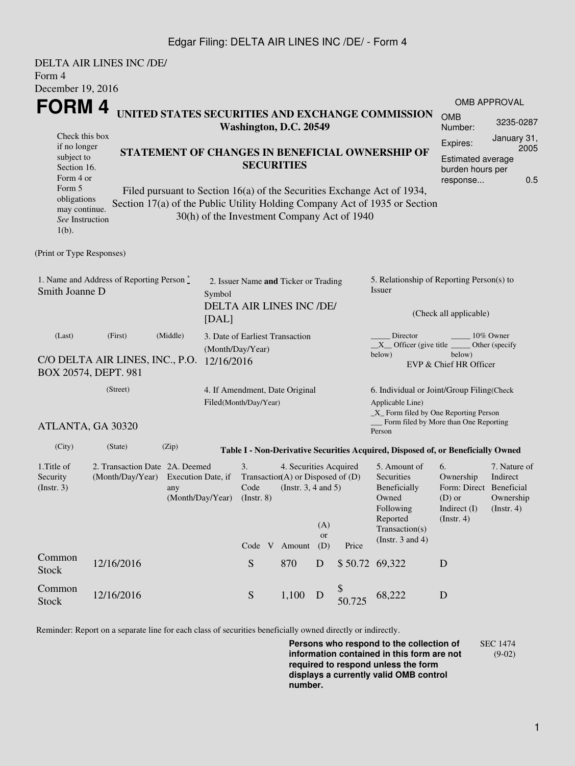## Edgar Filing: DELTA AIR LINES INC /DE/ - Form 4

| Form 4                                                                                                                  | <b>DELTA AIR LINES INC /DE/</b>                                                                  |                                                                                                                                                                                                      |  |                                                                                                                                             |                                                                                     |             |              |                                                                                                                                                  |                                                                                              |                                                           |  |  |
|-------------------------------------------------------------------------------------------------------------------------|--------------------------------------------------------------------------------------------------|------------------------------------------------------------------------------------------------------------------------------------------------------------------------------------------------------|--|---------------------------------------------------------------------------------------------------------------------------------------------|-------------------------------------------------------------------------------------|-------------|--------------|--------------------------------------------------------------------------------------------------------------------------------------------------|----------------------------------------------------------------------------------------------|-----------------------------------------------------------|--|--|
| December 19, 2016                                                                                                       |                                                                                                  |                                                                                                                                                                                                      |  |                                                                                                                                             |                                                                                     |             |              |                                                                                                                                                  |                                                                                              | <b>OMB APPROVAL</b>                                       |  |  |
| FORM 4<br>UNITED STATES SECURITIES AND EXCHANGE COMMISSION<br>Washington, D.C. 20549<br>Check this box                  |                                                                                                  |                                                                                                                                                                                                      |  |                                                                                                                                             |                                                                                     |             |              | <b>OMB</b><br>Number:                                                                                                                            | 3235-0287<br>January 31,                                                                     |                                                           |  |  |
| if no longer<br>STATEMENT OF CHANGES IN BENEFICIAL OWNERSHIP OF<br>subject to<br>Section 16.<br>Form 4 or               |                                                                                                  |                                                                                                                                                                                                      |  | <b>SECURITIES</b>                                                                                                                           | Expires:<br>2005<br><b>Estimated average</b><br>burden hours per<br>0.5<br>response |             |              |                                                                                                                                                  |                                                                                              |                                                           |  |  |
| Form 5<br>obligations<br>may continue.<br>See Instruction<br>$1(b)$ .                                                   |                                                                                                  | Filed pursuant to Section 16(a) of the Securities Exchange Act of 1934,<br>Section 17(a) of the Public Utility Holding Company Act of 1935 or Section<br>30(h) of the Investment Company Act of 1940 |  |                                                                                                                                             |                                                                                     |             |              |                                                                                                                                                  |                                                                                              |                                                           |  |  |
| (Print or Type Responses)                                                                                               |                                                                                                  |                                                                                                                                                                                                      |  |                                                                                                                                             |                                                                                     |             |              |                                                                                                                                                  |                                                                                              |                                                           |  |  |
| 1. Name and Address of Reporting Person $\stackrel{*}{\mathbb{L}}$<br>Smith Joanne D<br>Symbol                          |                                                                                                  |                                                                                                                                                                                                      |  | 2. Issuer Name and Ticker or Trading<br>DELTA AIR LINES INC /DE/                                                                            |                                                                                     |             |              | 5. Relationship of Reporting Person(s) to<br>Issuer                                                                                              |                                                                                              |                                                           |  |  |
| [DAL]                                                                                                                   |                                                                                                  |                                                                                                                                                                                                      |  |                                                                                                                                             |                                                                                     |             |              | (Check all applicable)                                                                                                                           |                                                                                              |                                                           |  |  |
| (Middle)<br>(Last)<br>(First)<br>(Month/Day/Year)<br>C/O DELTA AIR LINES, INC., P.O. 12/16/2016<br>BOX 20574, DEPT. 981 |                                                                                                  |                                                                                                                                                                                                      |  | 3. Date of Earliest Transaction                                                                                                             |                                                                                     |             |              | Director<br>10% Owner<br>$X$ Officer (give title $\overline{\phantom{a}}$<br>Other (specify<br>below)<br>below)<br>EVP & Chief HR Officer        |                                                                                              |                                                           |  |  |
|                                                                                                                         | (Street)<br>Filed(Month/Day/Year)                                                                |                                                                                                                                                                                                      |  |                                                                                                                                             | 4. If Amendment, Date Original                                                      |             |              | 6. Individual or Joint/Group Filing(Check<br>Applicable Line)<br>_X_ Form filed by One Reporting Person<br>Form filed by More than One Reporting |                                                                                              |                                                           |  |  |
|                                                                                                                         | ATLANTA, GA 30320                                                                                |                                                                                                                                                                                                      |  |                                                                                                                                             |                                                                                     |             |              | Person                                                                                                                                           |                                                                                              |                                                           |  |  |
| (City)                                                                                                                  | (State)                                                                                          | (Zip)                                                                                                                                                                                                |  |                                                                                                                                             |                                                                                     |             |              | Table I - Non-Derivative Securities Acquired, Disposed of, or Beneficially Owned                                                                 |                                                                                              |                                                           |  |  |
| 1. Title of<br>Security<br>(Insert. 3)                                                                                  | 2. Transaction Date 2A. Deemed<br>(Month/Day/Year) Execution Date, if<br>any<br>(Month/Day/Year) |                                                                                                                                                                                                      |  | 4. Securities Acquired<br>3.<br>Transaction(A) or Disposed of $(D)$<br>Code (Instr. $3, 4$ and $5$ )<br>$($ Instr. $8)$<br>(A)<br><b>or</b> |                                                                                     |             |              | 5. Amount of<br>Securities<br>Beneficially<br>Owned<br>Following<br>Reported<br>Transaction(s)                                                   | 6.<br>Ownership<br>Form: Direct Beneficial<br>$(D)$ or<br>Indirect $(I)$<br>$($ Instr. 4 $)$ | 7. Nature of<br>Indirect<br>Ownership<br>$($ Instr. 4 $)$ |  |  |
| Common                                                                                                                  |                                                                                                  |                                                                                                                                                                                                      |  | Code V Amount                                                                                                                               |                                                                                     | (D)         | Price        | (Instr. $3$ and $4$ )                                                                                                                            |                                                                                              |                                                           |  |  |
| <b>Stock</b>                                                                                                            | 12/16/2016                                                                                       |                                                                                                                                                                                                      |  | ${\bf S}$                                                                                                                                   | 870                                                                                 | $\mathbf D$ | \$50.72      | 69,322                                                                                                                                           | D                                                                                            |                                                           |  |  |
| Common<br><b>Stock</b>                                                                                                  | 12/16/2016                                                                                       |                                                                                                                                                                                                      |  | ${\mathbf S}$                                                                                                                               | 1,100                                                                               | D           | \$<br>50.725 | 68,222                                                                                                                                           | $\mathbf D$                                                                                  |                                                           |  |  |

Reminder: Report on a separate line for each class of securities beneficially owned directly or indirectly.

**Persons who respond to the collection of information contained in this form are not required to respond unless the form displays a currently valid OMB control number.** SEC 1474 (9-02)